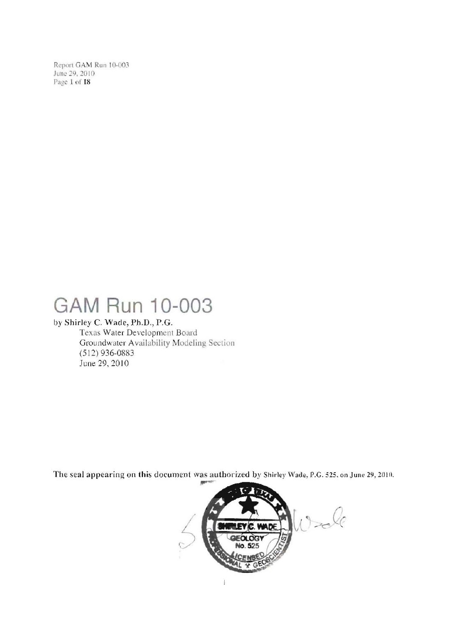Report GAM Run 10-003 June 29, 2010 Page 1 of 18

# GAM Run 10-003

### by Shirley C. Wade, Ph.D., P.G.

Texas Water Development Board Groundwater Availability Modeling Section  $(512)$  936-0883 June 29, 2010

The seal appearing on this document was authorized by Shirley Wade, P.G. 525, on June 29, 2010.

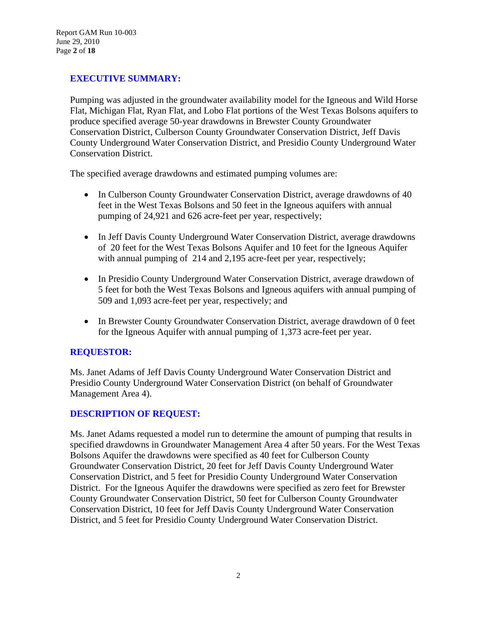### **EXECUTIVE SUMMARY:**

Pumping was adjusted in the groundwater availability model for the Igneous and Wild Horse Flat, Michigan Flat, Ryan Flat, and Lobo Flat portions of the West Texas Bolsons aquifers to produce specified average 50-year drawdowns in Brewster County Groundwater Conservation District, Culberson County Groundwater Conservation District, Jeff Davis County Underground Water Conservation District, and Presidio County Underground Water Conservation District.

The specified average drawdowns and estimated pumping volumes are:

- In Culberson County Groundwater Conservation District, average drawdowns of 40 feet in the West Texas Bolsons and 50 feet in the Igneous aquifers with annual pumping of 24,921 and 626 acre-feet per year, respectively;
- In Jeff Davis County Underground Water Conservation District, average drawdowns of 20 feet for the West Texas Bolsons Aquifer and 10 feet for the Igneous Aquifer with annual pumping of 214 and 2,195 acre-feet per year, respectively;
- In Presidio County Underground Water Conservation District, average drawdown of 5 feet for both the West Texas Bolsons and Igneous aquifers with annual pumping of 509 and 1,093 acre-feet per year, respectively; and
- In Brewster County Groundwater Conservation District, average drawdown of 0 feet for the Igneous Aquifer with annual pumping of 1,373 acre-feet per year.

#### **REQUESTOR:**

Ms. Janet Adams of Jeff Davis County Underground Water Conservation District and Presidio County Underground Water Conservation District (on behalf of Groundwater Management Area 4).

#### **DESCRIPTION OF REQUEST:**

Ms. Janet Adams requested a model run to determine the amount of pumping that results in specified drawdowns in Groundwater Management Area 4 after 50 years. For the West Texas Bolsons Aquifer the drawdowns were specified as 40 feet for Culberson County Groundwater Conservation District, 20 feet for Jeff Davis County Underground Water Conservation District, and 5 feet for Presidio County Underground Water Conservation District. For the Igneous Aquifer the drawdowns were specified as zero feet for Brewster County Groundwater Conservation District, 50 feet for Culberson County Groundwater Conservation District, 10 feet for Jeff Davis County Underground Water Conservation District, and 5 feet for Presidio County Underground Water Conservation District.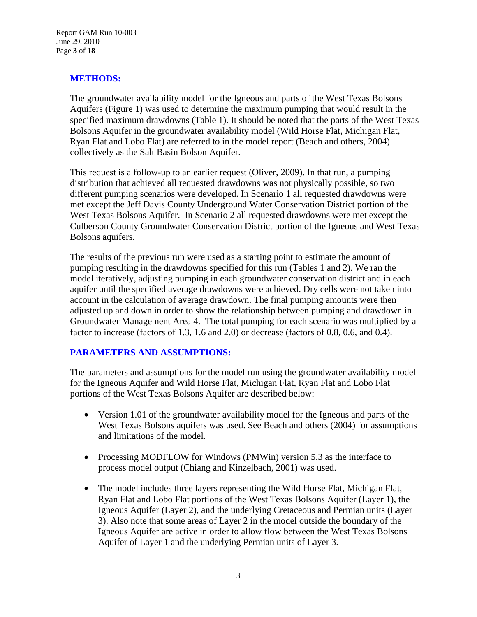Report GAM Run 10-003 June 29, 2010 Page **3** of **18**

#### **METHODS:**

The groundwater availability model for the Igneous and parts of the West Texas Bolsons Aquifers (Figure 1) was used to determine the maximum pumping that would result in the specified maximum drawdowns (Table 1). It should be noted that the parts of the West Texas Bolsons Aquifer in the groundwater availability model (Wild Horse Flat, Michigan Flat, Ryan Flat and Lobo Flat) are referred to in the model report (Beach and others, 2004) collectively as the Salt Basin Bolson Aquifer.

This request is a follow-up to an earlier request (Oliver, 2009). In that run, a pumping distribution that achieved all requested drawdowns was not physically possible, so two different pumping scenarios were developed. In Scenario 1 all requested drawdowns were met except the Jeff Davis County Underground Water Conservation District portion of the West Texas Bolsons Aquifer. In Scenario 2 all requested drawdowns were met except the Culberson County Groundwater Conservation District portion of the Igneous and West Texas Bolsons aquifers.

The results of the previous run were used as a starting point to estimate the amount of pumping resulting in the drawdowns specified for this run (Tables 1 and 2). We ran the model iteratively, adjusting pumping in each groundwater conservation district and in each aquifer until the specified average drawdowns were achieved. Dry cells were not taken into account in the calculation of average drawdown. The final pumping amounts were then adjusted up and down in order to show the relationship between pumping and drawdown in Groundwater Management Area 4. The total pumping for each scenario was multiplied by a factor to increase (factors of 1.3, 1.6 and 2.0) or decrease (factors of 0.8, 0.6, and 0.4).

#### **PARAMETERS AND ASSUMPTIONS:**

The parameters and assumptions for the model run using the groundwater availability model for the Igneous Aquifer and Wild Horse Flat, Michigan Flat, Ryan Flat and Lobo Flat portions of the West Texas Bolsons Aquifer are described below:

- Version 1.01 of the groundwater availability model for the Igneous and parts of the West Texas Bolsons aquifers was used. See Beach and others (2004) for assumptions and limitations of the model.
- Processing MODFLOW for Windows (PMWin) version 5.3 as the interface to process model output (Chiang and Kinzelbach, 2001) was used.
- The model includes three layers representing the Wild Horse Flat, Michigan Flat, Ryan Flat and Lobo Flat portions of the West Texas Bolsons Aquifer (Layer 1), the Igneous Aquifer (Layer 2), and the underlying Cretaceous and Permian units (Layer 3). Also note that some areas of Layer 2 in the model outside the boundary of the Igneous Aquifer are active in order to allow flow between the West Texas Bolsons Aquifer of Layer 1 and the underlying Permian units of Layer 3.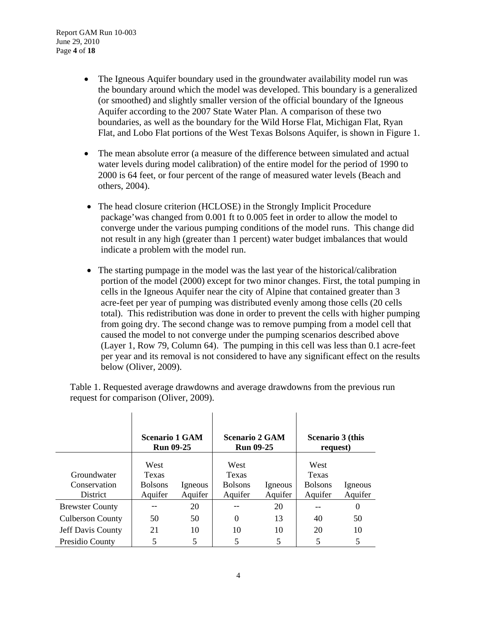- The Igneous Aquifer boundary used in the groundwater availability model run was the boundary around which the model was developed. This boundary is a generalized (or smoothed) and slightly smaller version of the official boundary of the Igneous Aquifer according to the 2007 State Water Plan. A comparison of these two boundaries, as well as the boundary for the Wild Horse Flat, Michigan Flat, Ryan Flat, and Lobo Flat portions of the West Texas Bolsons Aquifer, is shown in Figure 1.
- The mean absolute error (a measure of the difference between simulated and actual water levels during model calibration) of the entire model for the period of 1990 to 2000 is 64 feet, or four percent of the range of measured water levels (Beach and others, 2004).
- The head closure criterion (HCLOSE) in the Strongly Implicit Procedure package'was changed from 0.001 ft to 0.005 feet in order to allow the model to converge under the various pumping conditions of the model runs. This change did not result in any high (greater than 1 percent) water budget imbalances that would indicate a problem with the model run.
- The starting pumpage in the model was the last year of the historical/calibration portion of the model (2000) except for two minor changes. First, the total pumping in cells in the Igneous Aquifer near the city of Alpine that contained greater than 3 acre-feet per year of pumping was distributed evenly among those cells (20 cells total). This redistribution was done in order to prevent the cells with higher pumping from going dry. The second change was to remove pumping from a model cell that caused the model to not converge under the pumping scenarios described above (Layer 1, Row 79, Column 64). The pumping in this cell was less than 0.1 acre-feet per year and its removal is not considered to have any significant effect on the results below (Oliver, 2009).

| Table 1. Requested average drawdowns and average drawdowns from the previous run |  |
|----------------------------------------------------------------------------------|--|
| request for comparison (Oliver, 2009).                                           |  |

|                                                | <b>Scenario 1 GAM</b><br><b>Run 09-25</b>  |                    | <b>Scenario 2 GAM</b><br><b>Run 09-25</b>         |                    | Scenario 3 (this<br>request)                      |                    |
|------------------------------------------------|--------------------------------------------|--------------------|---------------------------------------------------|--------------------|---------------------------------------------------|--------------------|
| Groundwater<br>Conservation<br><b>District</b> | West<br>Texas<br><b>Bolsons</b><br>Aquifer | Igneous<br>Aquifer | West<br><b>Texas</b><br><b>Bolsons</b><br>Aquifer | Igneous<br>Aquifer | West<br><b>Texas</b><br><b>Bolsons</b><br>Aquifer | Igneous<br>Aquifer |
| <b>Brewster County</b>                         |                                            | 20                 |                                                   | 20                 |                                                   | $\theta$           |
| <b>Culberson County</b>                        | 50                                         | 50                 | 0                                                 | 13                 | 40                                                | 50                 |
| <b>Jeff Davis County</b>                       | 21                                         | 10                 | 10                                                | 10                 | 20                                                | 10                 |
| Presidio County                                |                                            | 5                  |                                                   | 5                  |                                                   | 5                  |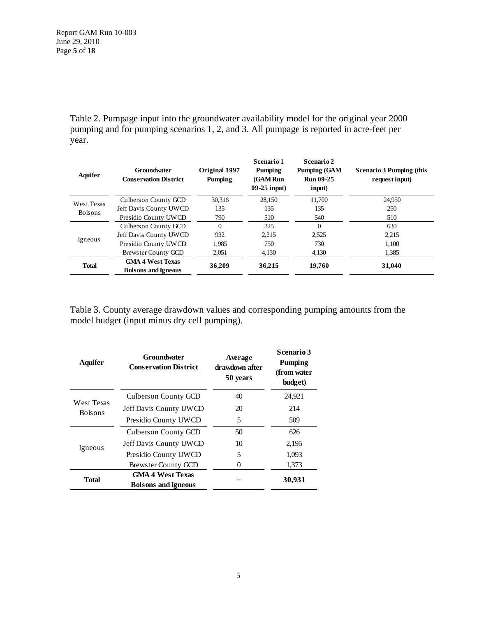Table 2. Pumpage input into the groundwater availability model for the original year 2000 pumping and for pumping scenarios 1, 2, and 3. All pumpage is reported in acre-feet per year.

| Aquifer                      | <b>Groundwater</b><br><b>Conservation District</b>    | Original 1997<br>Pumping | Scenario 1<br>Pumping<br>(GAM Run<br>$09-25$ input) | Scenario 2<br><b>Pumping (GAM</b><br><b>Run 09-25</b><br>input) | <b>Scenario 3 Pumping (this</b><br>request input) |
|------------------------------|-------------------------------------------------------|--------------------------|-----------------------------------------------------|-----------------------------------------------------------------|---------------------------------------------------|
| West Texas<br><b>Bolsons</b> | Culberson County GCD                                  | 30.316                   | 28.150                                              | 11.700                                                          | 24.950                                            |
|                              | Jeff Davis County UWCD                                | 135                      | 135                                                 | 135                                                             | 250                                               |
|                              | Presidio County UWCD                                  | 790                      | 510                                                 | 540                                                             | 510                                               |
| Igneous                      | Culbers on County GCD                                 | $\Omega$                 | 325                                                 | $\Omega$                                                        | 630                                               |
|                              | Jeff Davis County UWCD                                | 932                      | 2.215                                               | 2,525                                                           | 2,215                                             |
|                              | Presidio County UWCD                                  | 1,985                    | 750                                                 | 730                                                             | 1.100                                             |
|                              | Brewster County GCD                                   | 2,051                    | 4,130                                               | 4,130                                                           | 1,385                                             |
| <b>Total</b>                 | <b>GMA 4 West Texas</b><br><b>Bolsons and Igneous</b> | 36,209                   | 36,215                                              | 19.760                                                          | 31,040                                            |

Table 3. County average drawdown values and corresponding pumping amounts from the model budget (input minus dry cell pumping).

| <b>Aquifer</b>                      | <b>Groundwater</b><br><b>Conservation District</b>    | Average<br>drawdown after<br>50 years | <b>Scenario 3</b><br>Pumping<br>(from water<br>budget) |
|-------------------------------------|-------------------------------------------------------|---------------------------------------|--------------------------------------------------------|
| <b>West Texas</b><br><b>Bolsons</b> | Culberson County GCD                                  | 40                                    | 24,921                                                 |
|                                     | Jeff Davis County UWCD                                | 20                                    | 214                                                    |
|                                     | Presidio County UWCD                                  | 5                                     | 509                                                    |
| Igneous                             | Culberson County GCD                                  | 50                                    | 626                                                    |
|                                     | Jeff Davis County UWCD                                | 10                                    | 2,195                                                  |
|                                     | Presidio County UWCD                                  | 5                                     | 1,093                                                  |
|                                     | Brewster County GCD                                   |                                       | 1,373                                                  |
| <b>Total</b>                        | <b>GMA 4 West Texas</b><br><b>Bolsons</b> and Igneous |                                       | 30,931                                                 |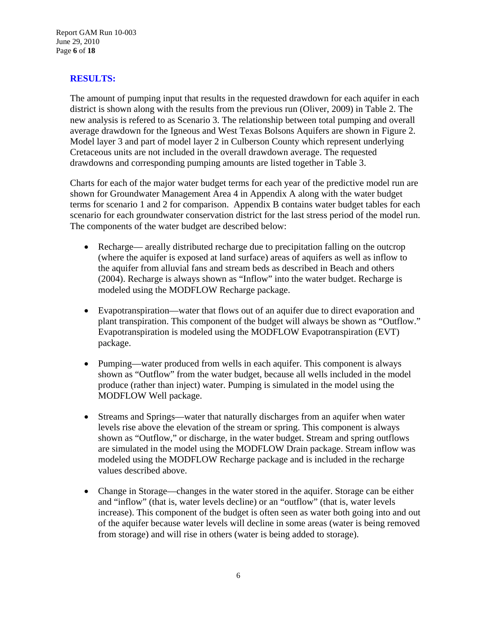Report GAM Run 10-003 June 29, 2010 Page **6** of **18**

#### **RESULTS:**

The amount of pumping input that results in the requested drawdown for each aquifer in each district is shown along with the results from the previous run (Oliver, 2009) in Table 2. The new analysis is refered to as Scenario 3. The relationship between total pumping and overall average drawdown for the Igneous and West Texas Bolsons Aquifers are shown in Figure 2. Model layer 3 and part of model layer 2 in Culberson County which represent underlying Cretaceous units are not included in the overall drawdown average. The requested drawdowns and corresponding pumping amounts are listed together in Table 3.

Charts for each of the major water budget terms for each year of the predictive model run are shown for Groundwater Management Area 4 in Appendix A along with the water budget terms for scenario 1 and 2 for comparison. Appendix B contains water budget tables for each scenario for each groundwater conservation district for the last stress period of the model run. The components of the water budget are described below:

- Recharge— areally distributed recharge due to precipitation falling on the outcrop (where the aquifer is exposed at land surface) areas of aquifers as well as inflow to the aquifer from alluvial fans and stream beds as described in Beach and others (2004). Recharge is always shown as "Inflow" into the water budget. Recharge is modeled using the MODFLOW Recharge package.
- Evapotranspiration—water that flows out of an aquifer due to direct evaporation and plant transpiration. This component of the budget will always be shown as "Outflow." Evapotranspiration is modeled using the MODFLOW Evapotranspiration (EVT) package.
- Pumping—water produced from wells in each aquifer. This component is always shown as "Outflow" from the water budget, because all wells included in the model produce (rather than inject) water. Pumping is simulated in the model using the MODFLOW Well package.
- Streams and Springs—water that naturally discharges from an aquifer when water levels rise above the elevation of the stream or spring. This component is always shown as "Outflow," or discharge, in the water budget. Stream and spring outflows are simulated in the model using the MODFLOW Drain package. Stream inflow was modeled using the MODFLOW Recharge package and is included in the recharge values described above.
- Change in Storage—changes in the water stored in the aquifer. Storage can be either and "inflow" (that is, water levels decline) or an "outflow" (that is, water levels increase). This component of the budget is often seen as water both going into and out of the aquifer because water levels will decline in some areas (water is being removed from storage) and will rise in others (water is being added to storage).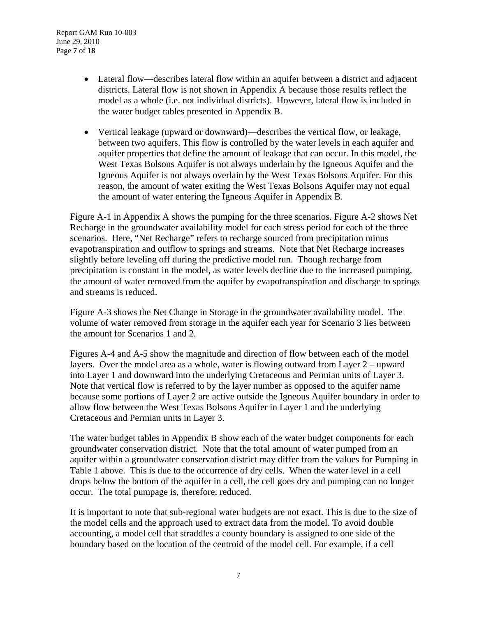- Lateral flow—describes lateral flow within an aquifer between a district and adjacent districts. Lateral flow is not shown in Appendix A because those results reflect the model as a whole (i.e. not individual districts). However, lateral flow is included in the water budget tables presented in Appendix B.
- Vertical leakage (upward or downward)—describes the vertical flow, or leakage, between two aquifers. This flow is controlled by the water levels in each aquifer and aquifer properties that define the amount of leakage that can occur. In this model, the West Texas Bolsons Aquifer is not always underlain by the Igneous Aquifer and the Igneous Aquifer is not always overlain by the West Texas Bolsons Aquifer. For this reason, the amount of water exiting the West Texas Bolsons Aquifer may not equal the amount of water entering the Igneous Aquifer in Appendix B.

Figure A-1 in Appendix A shows the pumping for the three scenarios. Figure A-2 shows Net Recharge in the groundwater availability model for each stress period for each of the three scenarios. Here, "Net Recharge" refers to recharge sourced from precipitation minus evapotranspiration and outflow to springs and streams. Note that Net Recharge increases slightly before leveling off during the predictive model run. Though recharge from precipitation is constant in the model, as water levels decline due to the increased pumping, the amount of water removed from the aquifer by evapotranspiration and discharge to springs and streams is reduced.

Figure A-3 shows the Net Change in Storage in the groundwater availability model. The volume of water removed from storage in the aquifer each year for Scenario 3 lies between the amount for Scenarios 1 and 2.

Figures A-4 and A-5 show the magnitude and direction of flow between each of the model layers. Over the model area as a whole, water is flowing outward from Layer 2 – upward into Layer 1 and downward into the underlying Cretaceous and Permian units of Layer 3. Note that vertical flow is referred to by the layer number as opposed to the aquifer name because some portions of Layer 2 are active outside the Igneous Aquifer boundary in order to allow flow between the West Texas Bolsons Aquifer in Layer 1 and the underlying Cretaceous and Permian units in Layer 3.

The water budget tables in Appendix B show each of the water budget components for each groundwater conservation district. Note that the total amount of water pumped from an aquifer within a groundwater conservation district may differ from the values for Pumping in Table 1 above. This is due to the occurrence of dry cells. When the water level in a cell drops below the bottom of the aquifer in a cell, the cell goes dry and pumping can no longer occur. The total pumpage is, therefore, reduced.

It is important to note that sub-regional water budgets are not exact. This is due to the size of the model cells and the approach used to extract data from the model. To avoid double accounting, a model cell that straddles a county boundary is assigned to one side of the boundary based on the location of the centroid of the model cell. For example, if a cell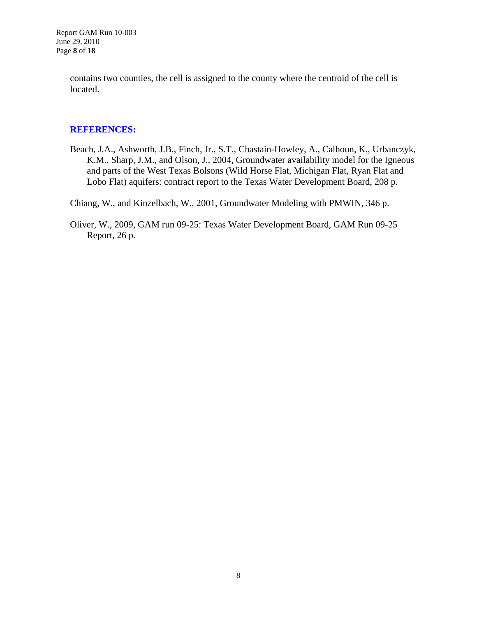Report GAM Run 10-003 June 29, 2010 Page **8** of **18**

> contains two counties, the cell is assigned to the county where the centroid of the cell is located.

#### **REFERENCES:**

Beach, J.A., Ashworth, J.B., Finch, Jr., S.T., Chastain-Howley, A., Calhoun, K., Urbanczyk, K.M., Sharp, J.M., and Olson, J., 2004, Groundwater availability model for the Igneous and parts of the West Texas Bolsons (Wild Horse Flat, Michigan Flat, Ryan Flat and Lobo Flat) aquifers: contract report to the Texas Water Development Board, 208 p.

Chiang, W., and Kinzelbach, W., 2001, Groundwater Modeling with PMWIN, 346 p.

Oliver, W., 2009, GAM run 09-25: Texas Water Development Board, GAM Run 09-25 Report, 26 p.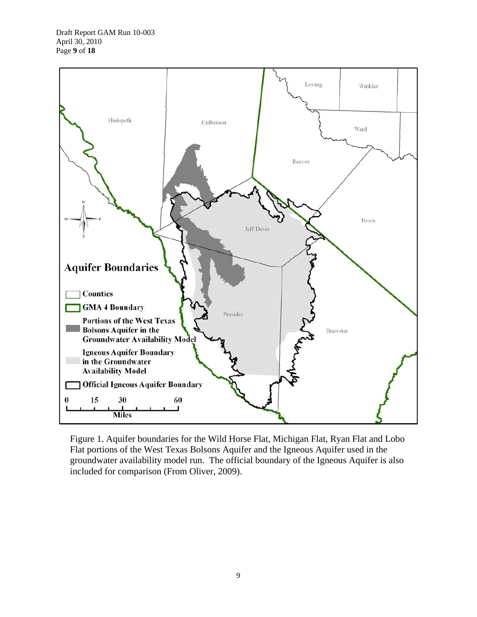

Figure 1. Aquifer boundaries for the Wild Horse Flat, Michigan Flat, Ryan Flat and Lobo Flat portions of the West Texas Bolsons Aquifer and the Igneous Aquifer used in the groundwater availability model run. The official boundary of the Igneous Aquifer is also included for comparison (From Oliver, 2009).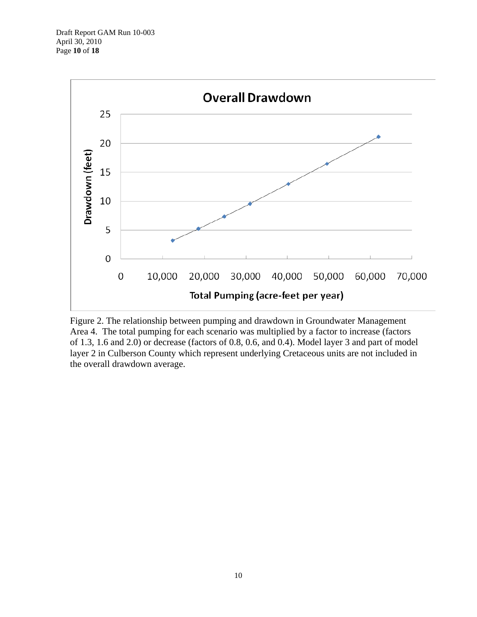

Figure 2. The relationship between pumping and drawdown in Groundwater Management Area 4. The total pumping for each scenario was multiplied by a factor to increase (factors of 1.3, 1.6 and 2.0) or decrease (factors of 0.8, 0.6, and 0.4). Model layer 3 and part of model layer 2 in Culberson County which represent underlying Cretaceous units are not included in the overall drawdown average.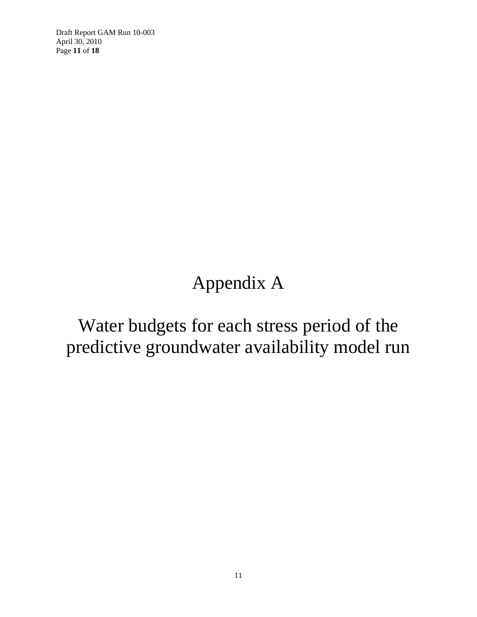Draft Report GAM Run 10-003 April 30, 2010 Page **11** of **18**

# Appendix A

## Water budgets for each stress period of the predictive groundwater availability model run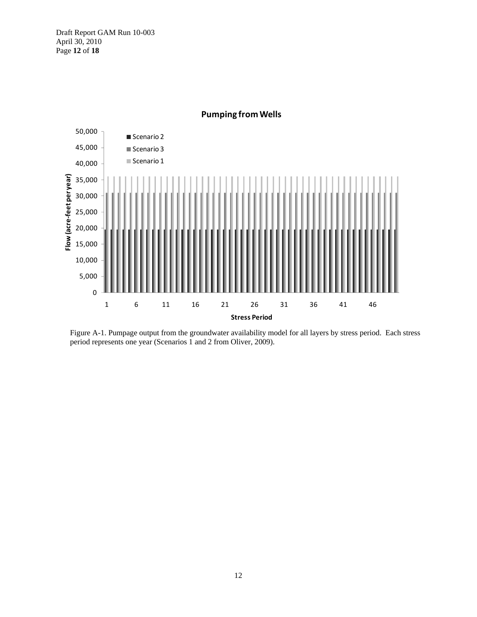Draft Report GAM Run 10-003 April 30, 2010 Page **12** of **18**



**Pumping fromWells**

Figure A-1. Pumpage output from the groundwater availability model for all layers by stress period. Each stress period represents one year (Scenarios 1 and 2 from Oliver, 2009).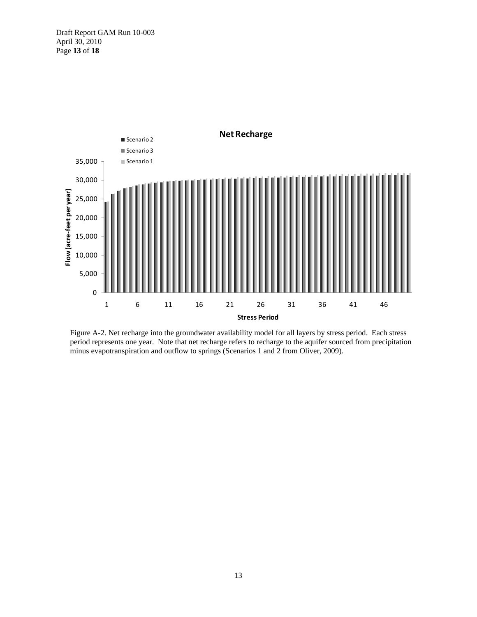Draft Report GAM Run 10-003 April 30, 2010 Page **13** of **18**



Figure A-2. Net recharge into the groundwater availability model for all layers by stress period. Each stress period represents one year. Note that net recharge refers to recharge to the aquifer sourced from precipitation minus evapotranspiration and outflow to springs (Scenarios 1 and 2 from Oliver, 2009).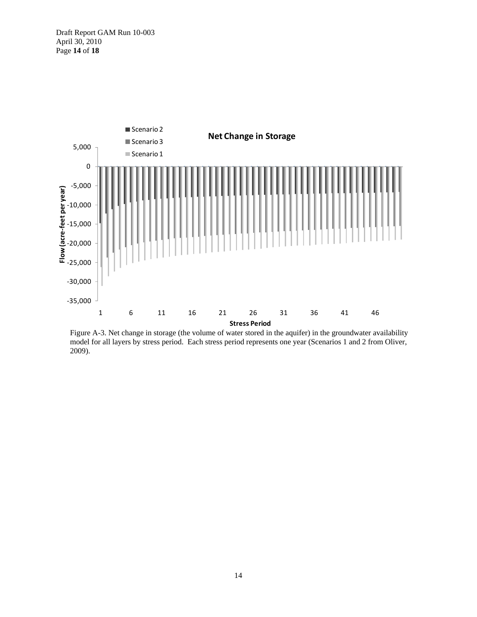Draft Report GAM Run 10-003 April 30, 2010 Page **14** of **18**



Figure A-3. Net change in storage (the volume of water stored in the aquifer) in the groundwater availability model for all layers by stress period. Each stress period represents one year (Scenarios 1 and 2 from Oliver, 2009).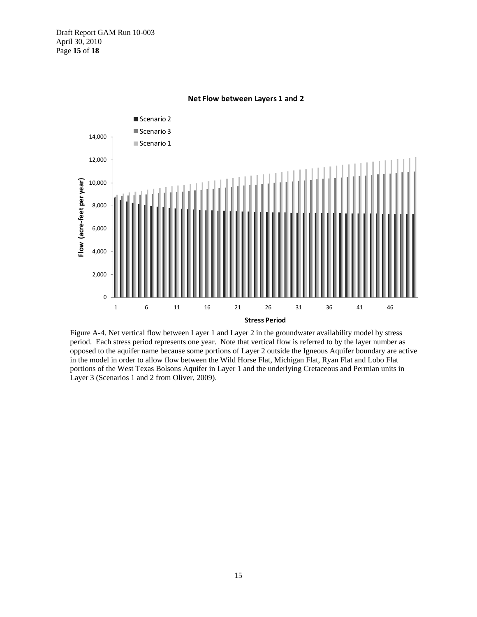

**Net Flow between Layers 1 and 2**

Figure A-4. Net vertical flow between Layer 1 and Layer 2 in the groundwater availability model by stress period. Each stress period represents one year. Note that vertical flow is referred to by the layer number as opposed to the aquifer name because some portions of Layer 2 outside the Igneous Aquifer boundary are active in the model in order to allow flow between the Wild Horse Flat, Michigan Flat, Ryan Flat and Lobo Flat portions of the West Texas Bolsons Aquifer in Layer 1 and the underlying Cretaceous and Permian units in Layer 3 (Scenarios 1 and 2 from Oliver, 2009).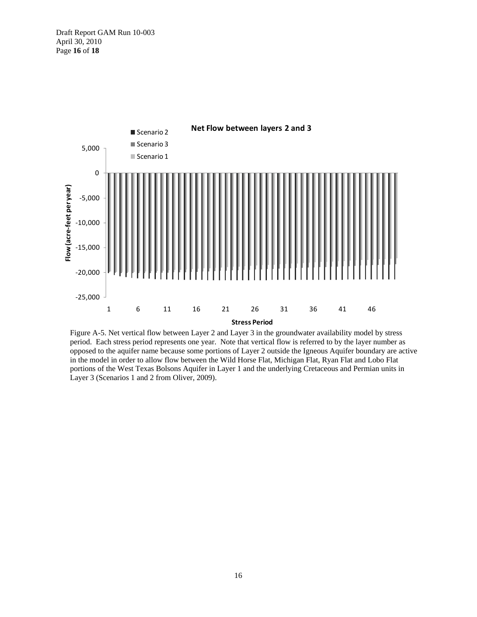Draft Report GAM Run 10-003 April 30, 2010 Page **16** of **18**



Figure A-5. Net vertical flow between Layer 2 and Layer 3 in the groundwater availability model by stress period. Each stress period represents one year. Note that vertical flow is referred to by the layer number as opposed to the aquifer name because some portions of Layer 2 outside the Igneous Aquifer boundary are active in the model in order to allow flow between the Wild Horse Flat, Michigan Flat, Ryan Flat and Lobo Flat portions of the West Texas Bolsons Aquifer in Layer 1 and the underlying Cretaceous and Permian units in Layer 3 (Scenarios 1 and 2 from Oliver, 2009).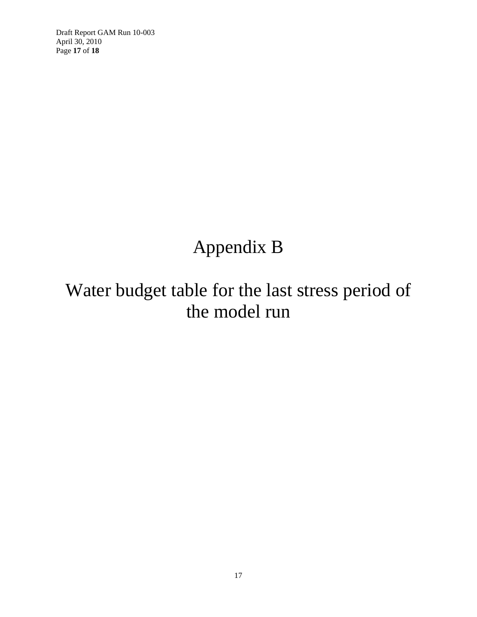Draft Report GAM Run 10-003 April 30, 2010 Page **17** of **18**

### Appendix B

## Water budget table for the last stress period of the model run